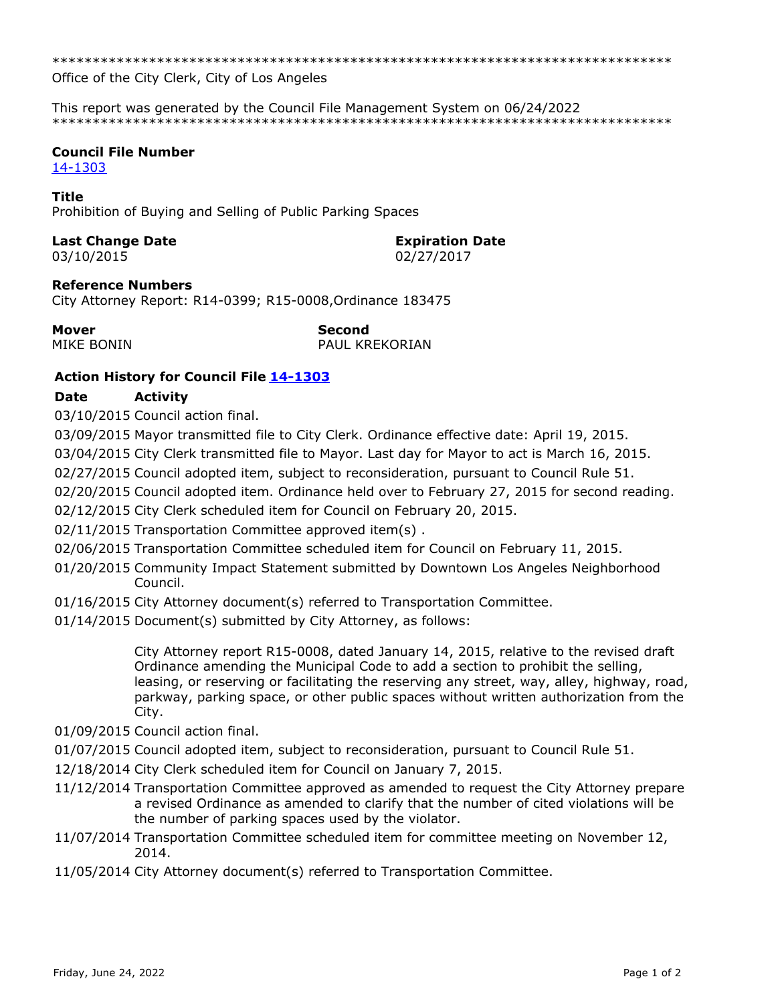\*\*\*\*\*\*\*\*\*\*\*\*\*\*\*\*\*\*\*\*\*\*\*\*\*\*\*\*\*\*\*\*\*\*\*\*\*\*\*\*\*\*\*\*\*\*\*\*\*\*\*\*\*\*\*\*\*\*\*\*\*\*\*\*\*\*\*\*\*\*\*\*\*\*\*\*\*

Office of the City Clerk, City of Los Angeles

This report was generated by the Council File Management System on 06/24/2022 \*\*\*\*\*\*\*\*\*\*\*\*\*\*\*\*\*\*\*\*\*\*\*\*\*\*\*\*\*\*\*\*\*\*\*\*\*\*\*\*\*\*\*\*\*\*\*\*\*\*\*\*\*\*\*\*\*\*\*\*\*\*\*\*\*\*\*\*\*\*\*\*\*\*\*\*\*

## **Council File Number**

[14-1303](https://cityclerk.lacity.org/lacityclerkconnect/index.cfm?fa=ccfi.viewrecord&cfnumber=14-1303)

### **Title**

Prohibition of Buying and Selling of Public Parking Spaces

### **Last Change Date Expiration Date**

03/10/2015 02/27/2017

### **Reference Numbers**

City Attorney Report: R14-0399; R15-0008,Ordinance 183475

**Mover Second**

MIKE BONIN PAUL KREKORIAN

# **Action History for Council File [14-1303](https://cityclerk.lacity.org/lacityclerkconnect/index.cfm?fa=ccfi.viewrecord&cfnumber=14-1303)**

### **Date Activity**

03/10/2015 Council action final.

03/09/2015 Mayor transmitted file to City Clerk. Ordinance effective date: April 19, 2015.

03/04/2015 City Clerk transmitted file to Mayor. Last day for Mayor to act is March 16, 2015.

02/27/2015 Council adopted item, subject to reconsideration, pursuant to Council Rule 51.

02/20/2015 Council adopted item. Ordinance held over to February 27, 2015 for second reading.

02/12/2015 City Clerk scheduled item for Council on February 20, 2015.

02/11/2015 Transportation Committee approved item(s) .

02/06/2015 Transportation Committee scheduled item for Council on February 11, 2015.

- 01/20/2015 Community Impact Statement submitted by Downtown Los Angeles Neighborhood Council.
- 01/16/2015 City Attorney document(s) referred to Transportation Committee.
- 01/14/2015 Document(s) submitted by City Attorney, as follows:

City Attorney report R15-0008, dated January 14, 2015, relative to the revised draft Ordinance amending the Municipal Code to add a section to prohibit the selling, leasing, or reserving or facilitating the reserving any street, way, alley, highway, road, parkway, parking space, or other public spaces without written authorization from the City.

- 01/09/2015 Council action final.
- 01/07/2015 Council adopted item, subject to reconsideration, pursuant to Council Rule 51.
- 12/18/2014 City Clerk scheduled item for Council on January 7, 2015.
- 11/12/2014 Transportation Committee approved as amended to request the City Attorney prepare a revised Ordinance as amended to clarify that the number of cited violations will be the number of parking spaces used by the violator.
- 11/07/2014 Transportation Committee scheduled item for committee meeting on November 12, 2014.
- 11/05/2014 City Attorney document(s) referred to Transportation Committee.